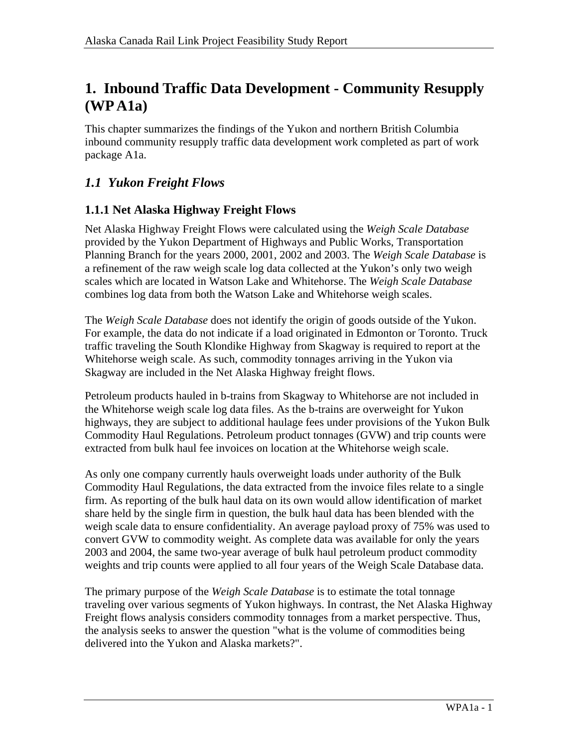# **1. Inbound Traffic Data Development - Community Resupply (WP A1a)**

This chapter summarizes the findings of the Yukon and northern British Columbia inbound community resupply traffic data development work completed as part of work package A1a.

## *1.1 Yukon Freight Flows*

#### **1.1.1 Net Alaska Highway Freight Flows**

Net Alaska Highway Freight Flows were calculated using the *Weigh Scale Database*  provided by the Yukon Department of Highways and Public Works, Transportation Planning Branch for the years 2000, 2001, 2002 and 2003. The *Weigh Scale Database* is a refinement of the raw weigh scale log data collected at the Yukon's only two weigh scales which are located in Watson Lake and Whitehorse. The *Weigh Scale Database*  combines log data from both the Watson Lake and Whitehorse weigh scales.

The *Weigh Scale Database* does not identify the origin of goods outside of the Yukon. For example, the data do not indicate if a load originated in Edmonton or Toronto. Truck traffic traveling the South Klondike Highway from Skagway is required to report at the Whitehorse weigh scale. As such, commodity tonnages arriving in the Yukon via Skagway are included in the Net Alaska Highway freight flows.

Petroleum products hauled in b-trains from Skagway to Whitehorse are not included in the Whitehorse weigh scale log data files. As the b-trains are overweight for Yukon highways, they are subject to additional haulage fees under provisions of the Yukon Bulk Commodity Haul Regulations. Petroleum product tonnages (GVW) and trip counts were extracted from bulk haul fee invoices on location at the Whitehorse weigh scale.

As only one company currently hauls overweight loads under authority of the Bulk Commodity Haul Regulations, the data extracted from the invoice files relate to a single firm. As reporting of the bulk haul data on its own would allow identification of market share held by the single firm in question, the bulk haul data has been blended with the weigh scale data to ensure confidentiality. An average payload proxy of 75% was used to convert GVW to commodity weight. As complete data was available for only the years 2003 and 2004, the same two-year average of bulk haul petroleum product commodity weights and trip counts were applied to all four years of the Weigh Scale Database data.

The primary purpose of the *Weigh Scale Database* is to estimate the total tonnage traveling over various segments of Yukon highways. In contrast, the Net Alaska Highway Freight flows analysis considers commodity tonnages from a market perspective. Thus, the analysis seeks to answer the question "what is the volume of commodities being delivered into the Yukon and Alaska markets?".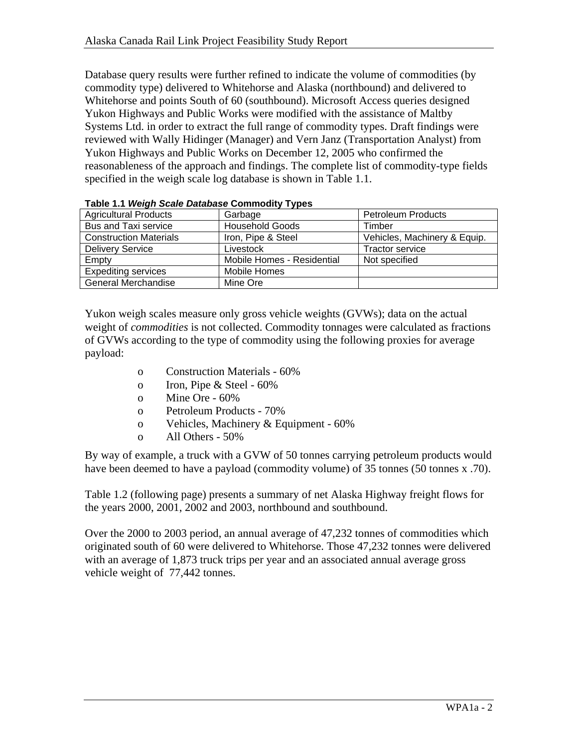Database query results were further refined to indicate the volume of commodities (by commodity type) delivered to Whitehorse and Alaska (northbound) and delivered to Whitehorse and points South of 60 (southbound). Microsoft Access queries designed Yukon Highways and Public Works were modified with the assistance of Maltby Systems Ltd. in order to extract the full range of commodity types. Draft findings were reviewed with Wally Hidinger (Manager) and Vern Janz (Transportation Analyst) from Yukon Highways and Public Works on December 12, 2005 who confirmed the reasonableness of the approach and findings. The complete list of commodity-type fields specified in the weigh scale log database is shown in Table 1.1.

|                               | $1800$ $111$ $1100$ $111$ $10000$ $10000$ $10000$ |                              |  |  |  |  |  |  |
|-------------------------------|---------------------------------------------------|------------------------------|--|--|--|--|--|--|
| <b>Agricultural Products</b>  | Garbage                                           | <b>Petroleum Products</b>    |  |  |  |  |  |  |
| <b>Bus and Taxi service</b>   | <b>Household Goods</b>                            | Timber                       |  |  |  |  |  |  |
| <b>Construction Materials</b> | Iron, Pipe & Steel                                | Vehicles, Machinery & Equip. |  |  |  |  |  |  |
| <b>Delivery Service</b>       | Livestock                                         | <b>Tractor service</b>       |  |  |  |  |  |  |
| Empty                         | Mobile Homes - Residential                        | Not specified                |  |  |  |  |  |  |
| <b>Expediting services</b>    | Mobile Homes                                      |                              |  |  |  |  |  |  |
| <b>General Merchandise</b>    | Mine Ore                                          |                              |  |  |  |  |  |  |

| Table 1.1 Weigh Scale Database Commodity Types |  |  |
|------------------------------------------------|--|--|

Yukon weigh scales measure only gross vehicle weights (GVWs); data on the actual weight of *commodities* is not collected. Commodity tonnages were calculated as fractions of GVWs according to the type of commodity using the following proxies for average payload:

- o Construction Materials 60%
- o Iron, Pipe & Steel 60%
- o Mine Ore 60%
- o Petroleum Products 70%
- o Vehicles, Machinery & Equipment 60%
- o All Others 50%

By way of example, a truck with a GVW of 50 tonnes carrying petroleum products would have been deemed to have a payload (commodity volume) of 35 tonnes (50 tonnes x .70).

Table 1.2 (following page) presents a summary of net Alaska Highway freight flows for the years 2000, 2001, 2002 and 2003, northbound and southbound.

Over the 2000 to 2003 period, an annual average of 47,232 tonnes of commodities which originated south of 60 were delivered to Whitehorse. Those 47,232 tonnes were delivered with an average of 1,873 truck trips per year and an associated annual average gross vehicle weight of 77,442 tonnes.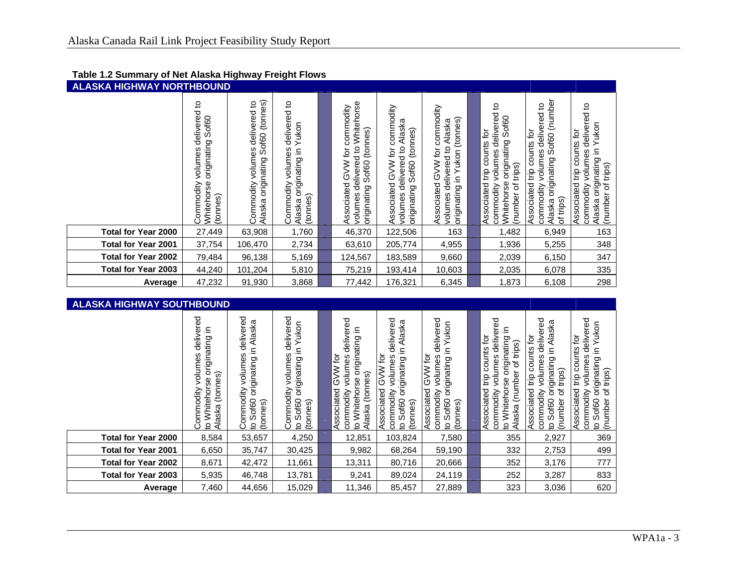| <b>ALASKA HIGHWAY NORTHBOUND</b> |                                                                                                              |                                                                                                         |                                                                                            |  |                                                                                                                                      |                                                                                                                  |                                                                                                                   |                                                                                                                                                           |                                                                                                                                           |                                                                                                                                              |
|----------------------------------|--------------------------------------------------------------------------------------------------------------|---------------------------------------------------------------------------------------------------------|--------------------------------------------------------------------------------------------|--|--------------------------------------------------------------------------------------------------------------------------------------|------------------------------------------------------------------------------------------------------------------|-------------------------------------------------------------------------------------------------------------------|-----------------------------------------------------------------------------------------------------------------------------------------------------------|-------------------------------------------------------------------------------------------------------------------------------------------|----------------------------------------------------------------------------------------------------------------------------------------------|
|                                  | <u>ุ ٥</u><br>delivered<br>Sof <sub>60</sub><br>puipuigina<br>volumes<br>Whitehorse<br>Commodity<br>(tonnes) | (tonnes)<br><u>ي</u><br>delivered<br>Sof <sub>60</sub><br>volumes<br>originating<br>Commodity<br>Alaska | ٩<br>delivered<br>Yukon<br>volumes<br>≘.<br>originating<br>Commodity<br>(tonnes)<br>Alaska |  | Whitehorse<br>commodity<br>(tonnes)<br>delivered to<br>ğ<br>≶<br>Sof <sub>60</sub><br>?<br>თ<br>Associated<br>priginating<br>volumes | commodity<br>Alaska<br>(tonnes)<br>volumes delivered to<br>ð<br><b>NNG</b><br>Sof60<br>Associated<br>priginating | Associated GVW for commodity<br>(tonnes)<br>Alaska<br>volumes delivered to<br>Yukon<br>$\subseteq$<br>priginating | ₽<br>०<br>Sof <sub>60</sub><br>delivere<br>ð<br>originating<br>counts<br>volumes<br>trips)<br>trip<br>Whitehorse<br>Associated<br>(number of<br>commodity | (number<br><u>۽</u><br>delivered<br>Associated trip counts for<br>of60<br>volumes<br>S<br>originating<br>commodity<br>of trips)<br>Alaska | S<br>delivered<br>Yukon<br>counts for<br>≘.<br>volumes<br>originating<br>trips)<br>trip<br>Associated<br>commodity<br>৳<br>(number<br>Alaska |
| <b>Total for Year 2000</b>       | 27,449                                                                                                       | 63,908                                                                                                  | 1,760                                                                                      |  | 46,370                                                                                                                               | 122,506                                                                                                          | 163                                                                                                               | 1,482                                                                                                                                                     | 6,949                                                                                                                                     | 163                                                                                                                                          |
| <b>Total for Year 2001</b>       | 37,754                                                                                                       | 106,470                                                                                                 | 2,734                                                                                      |  | 63,610                                                                                                                               | 205,774                                                                                                          | 4,955                                                                                                             | 1,936                                                                                                                                                     | 5,255                                                                                                                                     | 348                                                                                                                                          |
| <b>Total for Year 2002</b>       | 79,484                                                                                                       | 96,138                                                                                                  | 5,169                                                                                      |  | 124,567                                                                                                                              | 183,589                                                                                                          | 9,660                                                                                                             | 2,039                                                                                                                                                     | 6,150                                                                                                                                     | 347                                                                                                                                          |
| <b>Total for Year 2003</b>       | 44,240                                                                                                       | 101,204                                                                                                 | 5,810                                                                                      |  | 75,219                                                                                                                               | 193,414                                                                                                          | 10,603                                                                                                            | 2,035                                                                                                                                                     | 6,078                                                                                                                                     | 335                                                                                                                                          |
| Average                          | 47,232                                                                                                       | 91,930                                                                                                  | 3,868                                                                                      |  | 77,442                                                                                                                               | 176,321                                                                                                          | 6,345                                                                                                             | 1,873                                                                                                                                                     | 6,108                                                                                                                                     | 298                                                                                                                                          |

| <b>ALASKA HIGHWAY SOUTHBOUND</b> |                                                                                              |                                                                                    |                                                                                                             |  |                                                                                                                        |                                                                                                                   |                                                                                                                                               |                                                                                                                                     |                                                                                                                                                              |                                                                                                                                                                |
|----------------------------------|----------------------------------------------------------------------------------------------|------------------------------------------------------------------------------------|-------------------------------------------------------------------------------------------------------------|--|------------------------------------------------------------------------------------------------------------------------|-------------------------------------------------------------------------------------------------------------------|-----------------------------------------------------------------------------------------------------------------------------------------------|-------------------------------------------------------------------------------------------------------------------------------------|--------------------------------------------------------------------------------------------------------------------------------------------------------------|----------------------------------------------------------------------------------------------------------------------------------------------------------------|
|                                  | delivered<br>≘<br>originating<br>volumes<br>(tonnes)<br>to Whitehorse<br>Commodity<br>Alaska | delivered<br>originating in Alaska<br>volumes<br>Commodity<br>to Sof60<br>(tonnes) | delivered<br>Yukon<br>≘<br>volumes<br>originating<br>Commodity<br>Sof <sub>60</sub><br>(tonnes)<br>$\Omega$ |  | delivered<br>≘.<br>originating<br>GVW for<br>volumes<br>(tonnes)<br>to Whitehorse<br>Associated<br>commodity<br>Alaska | delivered<br>Alaska<br>≘.<br>GVW for<br>volumes<br>originating<br>Associated<br>commodity<br>to Sof60<br>(tonnes) | delivered<br>Yukon<br>≘.<br>ğ<br>volumes<br>originating<br><b>MVS</b><br>Associated<br>commodity<br>Sof <sub>60</sub><br>(tonnes)<br>$\Omega$ | ered<br>ğ<br>deli∨<br>originating<br>of trips)<br>Associated trip counts<br>volumes<br>Alaska (number<br>to Whitehorse<br>commodity | delivered<br>Alaska<br>Associated trip counts for<br>originating in<br>volumes<br>trips)<br>৳<br>commodity<br>Sof <sub>60</sub><br>(number<br>$\overline{5}$ | delivered<br>Yukon<br>Associated trip counts for<br>originating in<br>volumes<br>trips)<br>$\rm \breve{\sigma}$<br>commodity<br>(number<br>Sof60<br><u>ุ ဥ</u> |
| <b>Total for Year 2000</b>       | 8,584                                                                                        | 53,657                                                                             | 4,250                                                                                                       |  | 12,851                                                                                                                 | 103,824                                                                                                           | 7,580                                                                                                                                         | 355                                                                                                                                 | 2,927                                                                                                                                                        | 369                                                                                                                                                            |
| <b>Total for Year 2001</b>       | 6,650                                                                                        | 35,747                                                                             | 30,425                                                                                                      |  | 9,982                                                                                                                  | 68,264                                                                                                            | 59,190                                                                                                                                        | 332                                                                                                                                 | 2,753                                                                                                                                                        | 499                                                                                                                                                            |
| <b>Total for Year 2002</b>       | 8,671                                                                                        | 42,472                                                                             | 11,661                                                                                                      |  | 13,311                                                                                                                 | 80,716                                                                                                            | 20,666                                                                                                                                        | 352                                                                                                                                 | 3,176                                                                                                                                                        | 777                                                                                                                                                            |
| <b>Total for Year 2003</b>       | 5,935                                                                                        | 46,748                                                                             | 13,781                                                                                                      |  | 9,241                                                                                                                  | 89,024                                                                                                            | 24,119                                                                                                                                        | 252                                                                                                                                 | 3,287                                                                                                                                                        | 833                                                                                                                                                            |
| Average                          | 7,460                                                                                        | 44,656                                                                             | 15,029                                                                                                      |  | 11,346                                                                                                                 | 85,457                                                                                                            | 27,889                                                                                                                                        | 323                                                                                                                                 | 3,036                                                                                                                                                        | 620                                                                                                                                                            |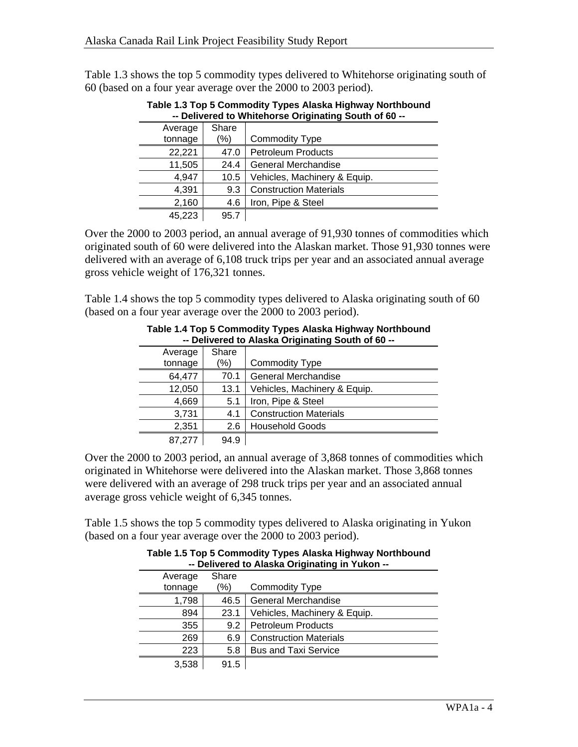Table 1.3 shows the top 5 commodity types delivered to Whitehorse originating south of 60 (based on a four year average over the 2000 to 2003 period).

|         | -- Delivered to whitehorse Originating South of 60 -- |                               |  |  |  |
|---------|-------------------------------------------------------|-------------------------------|--|--|--|
| Average | Share                                                 |                               |  |  |  |
| tonnage | (%)                                                   | <b>Commodity Type</b>         |  |  |  |
| 22,221  | 47.0                                                  | <b>Petroleum Products</b>     |  |  |  |
| 11,505  | 24.4                                                  | <b>General Merchandise</b>    |  |  |  |
| 4,947   | 10.5                                                  | Vehicles, Machinery & Equip.  |  |  |  |
| 4,391   | 9.3                                                   | <b>Construction Materials</b> |  |  |  |
| 2,160   | 4.6                                                   | Iron, Pipe & Steel            |  |  |  |
| 45.223  | 95.7                                                  |                               |  |  |  |

**Table 1.3 Top 5 Commodity Types Alaska Highway Northbound**  Delivered to Whitehorse Originating South of 60

Over the 2000 to 2003 period, an annual average of 91,930 tonnes of commodities which originated south of 60 were delivered into the Alaskan market. Those 91,930 tonnes were delivered with an average of 6,108 truck trips per year and an associated annual average gross vehicle weight of 176,321 tonnes.

Table 1.4 shows the top 5 commodity types delivered to Alaska originating south of 60 (based on a four year average over the 2000 to 2003 period).

|         | <b>Denvelou to Alaska Originating Obdin of to</b> |                               |  |  |  |
|---------|---------------------------------------------------|-------------------------------|--|--|--|
| Average | Share                                             |                               |  |  |  |
| tonnage | (%)                                               | <b>Commodity Type</b>         |  |  |  |
| 64,477  | 70.1                                              | <b>General Merchandise</b>    |  |  |  |
| 12,050  | 13.1                                              | Vehicles, Machinery & Equip.  |  |  |  |
| 4,669   | 5.1                                               | Iron, Pipe & Steel            |  |  |  |
| 3,731   | 4.1                                               | <b>Construction Materials</b> |  |  |  |
| 2,351   | 2.6                                               | <b>Household Goods</b>        |  |  |  |
| 87,277  | 94.9                                              |                               |  |  |  |

#### **Table 1.4 Top 5 Commodity Types Alaska Highway Northbound -- Delivered to Alaska Originating South of 60 --**

Over the 2000 to 2003 period, an annual average of 3,868 tonnes of commodities which originated in Whitehorse were delivered into the Alaskan market. Those 3,868 tonnes were delivered with an average of 298 truck trips per year and an associated annual average gross vehicle weight of 6,345 tonnes.

Table 1.5 shows the top 5 commodity types delivered to Alaska originating in Yukon (based on a four year average over the 2000 to 2003 period).

| -- Delivered to Alaska Originating in Yukon -- |       |                               |  |  |
|------------------------------------------------|-------|-------------------------------|--|--|
| Average                                        | Share |                               |  |  |
| tonnage                                        | %)    | <b>Commodity Type</b>         |  |  |
| 1,798                                          | 46.5  | General Merchandise           |  |  |
| 894                                            | 23.1  | Vehicles, Machinery & Equip.  |  |  |
| 355                                            | 9.2   | <b>Petroleum Products</b>     |  |  |
| 269                                            | 6.9   | <b>Construction Materials</b> |  |  |
| 223                                            | 5.8   | <b>Bus and Taxi Service</b>   |  |  |
| 3.538                                          | 91.5  |                               |  |  |

**Table 1.5 Top 5 Commodity Types Alaska Highway Northbound**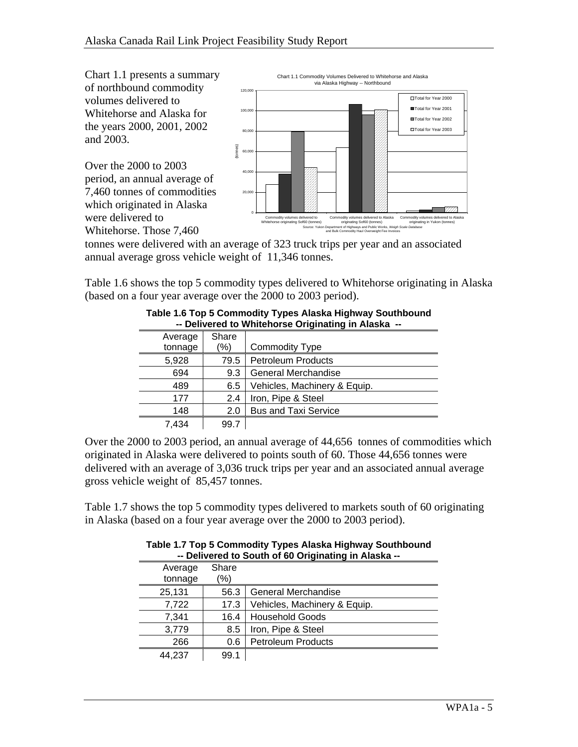Chart 1.1 presents a summary of northbound commodity volumes delivered to Whitehorse and Alaska for the years 2000, 2001, 2002 and 2003.

Over the 2000 to 2003 period, an annual average of 7,460 tonnes of commodities which originated in Alaska were delivered to Whitehorse. Those 7,460



tonnes were delivered with an average of 323 truck trips per year and an associated annual average gross vehicle weight of 11,346 tonnes.

Table 1.6 shows the top 5 commodity types delivered to Whitehorse originating in Alaska (based on a four year average over the 2000 to 2003 period).

|         | -- Delivered to writtenorse Originating in Alaska -- |                              |  |  |  |  |
|---------|------------------------------------------------------|------------------------------|--|--|--|--|
| Average | Share                                                |                              |  |  |  |  |
| tonnage | (%)                                                  | <b>Commodity Type</b>        |  |  |  |  |
| 5,928   | 79.5                                                 | <b>Petroleum Products</b>    |  |  |  |  |
| 694     | 9.3                                                  | General Merchandise          |  |  |  |  |
| 489     | 6.5                                                  | Vehicles, Machinery & Equip. |  |  |  |  |
| 177     | 2.4                                                  | Iron, Pipe & Steel           |  |  |  |  |
| 148     | 2.0                                                  | <b>Bus and Taxi Service</b>  |  |  |  |  |
| 7,434   | 99.7                                                 |                              |  |  |  |  |

#### **Table 1.6 Top 5 Commodity Types Alaska Highway Southbound -- Delivered to Whitehorse Originating in Alaska --**

Over the 2000 to 2003 period, an annual average of 44,656 tonnes of commodities which originated in Alaska were delivered to points south of 60. Those 44,656 tonnes were delivered with an average of 3,036 truck trips per year and an associated annual average gross vehicle weight of 85,457 tonnes.

Table 1.7 shows the top 5 commodity types delivered to markets south of 60 originating in Alaska (based on a four year average over the 2000 to 2003 period).

|                    | -- Delivered to South of 60 Originating in Alaska -- |                              |  |  |  |  |
|--------------------|------------------------------------------------------|------------------------------|--|--|--|--|
| Average<br>tonnage | Share<br>'%)                                         |                              |  |  |  |  |
| 25,131             | 56.3                                                 | General Merchandise          |  |  |  |  |
| 7,722              | 17.3                                                 | Vehicles, Machinery & Equip. |  |  |  |  |
| 7,341              | 16.4                                                 | <b>Household Goods</b>       |  |  |  |  |
| 3,779              | 8.5                                                  | Iron, Pipe & Steel           |  |  |  |  |
| 266                | 0.6                                                  | <b>Petroleum Products</b>    |  |  |  |  |
| 44.237             | 99.1                                                 |                              |  |  |  |  |

#### **Table 1.7 Top 5 Commodity Types Alaska Highway Southbound -- Delivered to South of 60 Originating in Alaska --**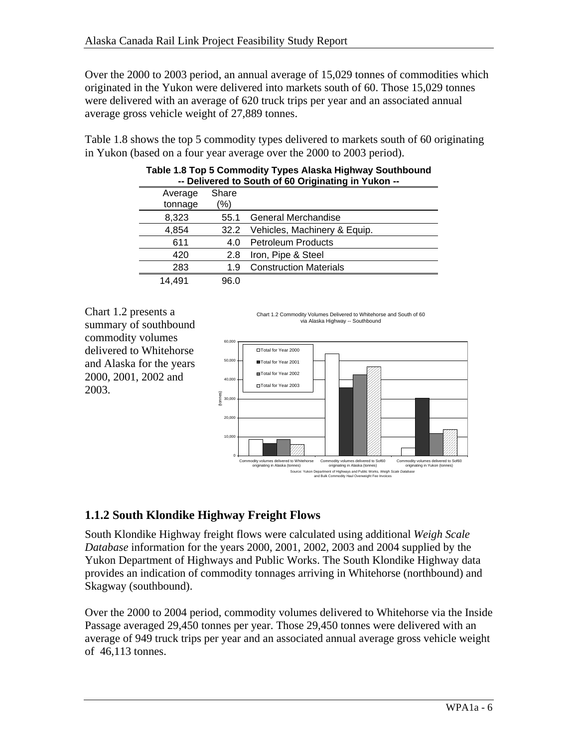Over the 2000 to 2003 period, an annual average of 15,029 tonnes of commodities which originated in the Yukon were delivered into markets south of 60. Those 15,029 tonnes were delivered with an average of 620 truck trips per year and an associated annual average gross vehicle weight of 27,889 tonnes.

Table 1.8 shows the top 5 commodity types delivered to markets south of 60 originating in Yukon (based on a four year average over the 2000 to 2003 period).

|                    | $-$ Denvered to South or 60 Originating in Tukon $-$ |                               |  |  |  |  |
|--------------------|------------------------------------------------------|-------------------------------|--|--|--|--|
| Average<br>tonnage | Share<br>$\frac{1}{2}$                               |                               |  |  |  |  |
| 8,323              | 55.1                                                 | General Merchandise           |  |  |  |  |
| 4,854              | 32.2                                                 | Vehicles, Machinery & Equip.  |  |  |  |  |
| 611                | 4.0                                                  | <b>Petroleum Products</b>     |  |  |  |  |
| 420                | 2.8                                                  | Iron, Pipe & Steel            |  |  |  |  |
| 283                | 1.9                                                  | <b>Construction Materials</b> |  |  |  |  |
| 14.491             | 96.0                                                 |                               |  |  |  |  |

| Table 1.8 Top 5 Commodity Types Alaska Highway Southbound |  |
|-----------------------------------------------------------|--|
| -- Delivered to South of 60 Originating in Yukon --       |  |

Chart 1.2 presents a summary of southbound commodity volumes delivered to Whitehorse and Alaska for the years 2000, 2001, 2002 and 2003.

Chart 1.2 Commodity Volumes Delivered to Whitehorse and South of 60 via Alaska Highway -- Southbound



### **1.1.2 South Klondike Highway Freight Flows**

South Klondike Highway freight flows were calculated using additional *Weigh Scale Database* information for the years 2000, 2001, 2002, 2003 and 2004 supplied by the Yukon Department of Highways and Public Works. The South Klondike Highway data provides an indication of commodity tonnages arriving in Whitehorse (northbound) and Skagway (southbound).

Over the 2000 to 2004 period, commodity volumes delivered to Whitehorse via the Inside Passage averaged 29,450 tonnes per year. Those 29,450 tonnes were delivered with an average of 949 truck trips per year and an associated annual average gross vehicle weight of 46,113 tonnes.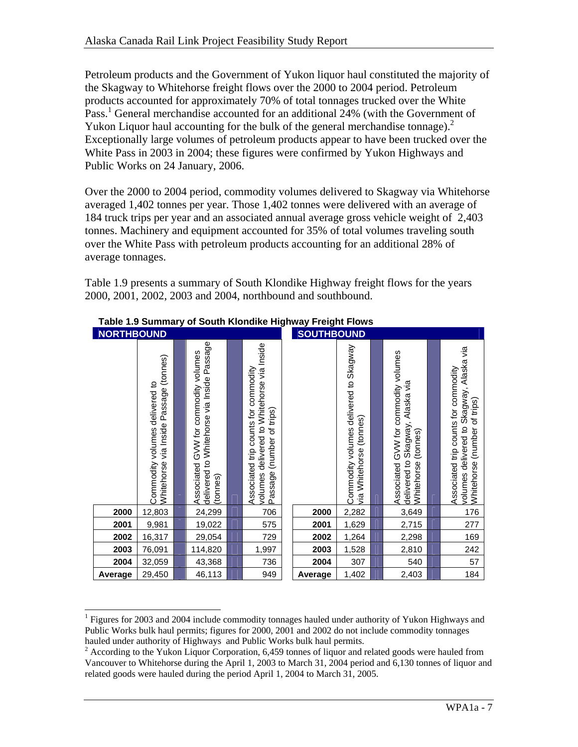Petroleum products and the Government of Yukon liquor haul constituted the majority of the Skagway to Whitehorse freight flows over the 2000 to 2004 period. Petroleum products accounted for approximately 70% of total tonnages trucked over the White Pass.<sup>1</sup> General merchandise accounted for an additional 24% (with the Government of Yukon Liquor haul accounting for the bulk of the general merchandise tonnage).<sup>2</sup> Exceptionally large volumes of petroleum products appear to have been trucked over the White Pass in 2003 in 2004; these figures were confirmed by Yukon Highways and Public Works on 24 January, 2006.

Over the 2000 to 2004 period, commodity volumes delivered to Skagway via Whitehorse averaged 1,402 tonnes per year. Those 1,402 tonnes were delivered with an average of 184 truck trips per year and an associated annual average gross vehicle weight of 2,403 tonnes. Machinery and equipment accounted for 35% of total volumes traveling south over the White Pass with petroleum products accounting for an additional 28% of average tonnages.

Table 1.9 presents a summary of South Klondike Highway freight flows for the years 2000, 2001, 2002, 2003 and 2004, northbound and southbound.

| <b>NORTHBOUND</b> |                                                                             |  |                                                                                                   |  |                                                                                                                    | <b>SOUTHBOUND</b> |                                                                                      |  |                                                                                                                 |  |                                                                                                                     |
|-------------------|-----------------------------------------------------------------------------|--|---------------------------------------------------------------------------------------------------|--|--------------------------------------------------------------------------------------------------------------------|-------------------|--------------------------------------------------------------------------------------|--|-----------------------------------------------------------------------------------------------------------------|--|---------------------------------------------------------------------------------------------------------------------|
|                   | via Inside Passage (tonnes)<br>Commodity volumes delivered to<br>Whitehorse |  | delivered to Whitehorse via Inside Passage<br>GVW for commodity volumes<br>Associated<br>(tonnes) |  | volumes delivered to Whitehorse via Inside<br>Associated trip counts for commodity<br>(number of trips)<br>Passage |                   | Skagway<br>Commodity volumes delivered to<br>(tonnes)<br>Whitehorse<br>$\frac{1}{2}$ |  | Associated GVW for commodity volumes<br>Alaska via<br>Skagway,<br>(tonnes)<br>delivered to<br><b>Mhitehorse</b> |  | volumes delivered to Skagway, Alaska via<br>Associated trip counts for commodity<br>(number of trips)<br>Whitehorse |
| 2000              | 12,803                                                                      |  | 24,299                                                                                            |  | 706                                                                                                                | 2000              | 2,282                                                                                |  | 3,649                                                                                                           |  | 176                                                                                                                 |
| 2001              | 9,981                                                                       |  | 19,022                                                                                            |  | 575                                                                                                                | 2001              | 1,629                                                                                |  | 2,715                                                                                                           |  | 277                                                                                                                 |
| 2002              | 16,317                                                                      |  | 29,054                                                                                            |  | 729                                                                                                                | 2002              | 1,264                                                                                |  | 2,298                                                                                                           |  | 169                                                                                                                 |
| 2003              | 76,091                                                                      |  | 114,820                                                                                           |  | 1,997                                                                                                              | 2003              | 1,528                                                                                |  | 2,810                                                                                                           |  | 242                                                                                                                 |
| 2004              | 32,059                                                                      |  | 43,368                                                                                            |  | 736                                                                                                                | 2004              | 307                                                                                  |  | 540                                                                                                             |  | 57                                                                                                                  |
| Average           | 29,450                                                                      |  | 46,113                                                                                            |  | 949                                                                                                                | Average           | 1,402                                                                                |  | 2,403                                                                                                           |  | 184                                                                                                                 |

#### **Table 1.9 Summary of South Klondike Highway Freight Flows**

l <sup>1</sup> Figures for 2003 and 2004 include commodity tonnages hauled under authority of Yukon Highways and Public Works bulk haul permits; figures for 2000, 2001 and 2002 do not include commodity tonnages hauled under authority of Highways and Public Works bulk haul permits.

 $2$  According to the Yukon Liquor Corporation, 6,459 tonnes of liquor and related goods were hauled from Vancouver to Whitehorse during the April 1, 2003 to March 31, 2004 period and 6,130 tonnes of liquor and related goods were hauled during the period April 1, 2004 to March 31, 2005.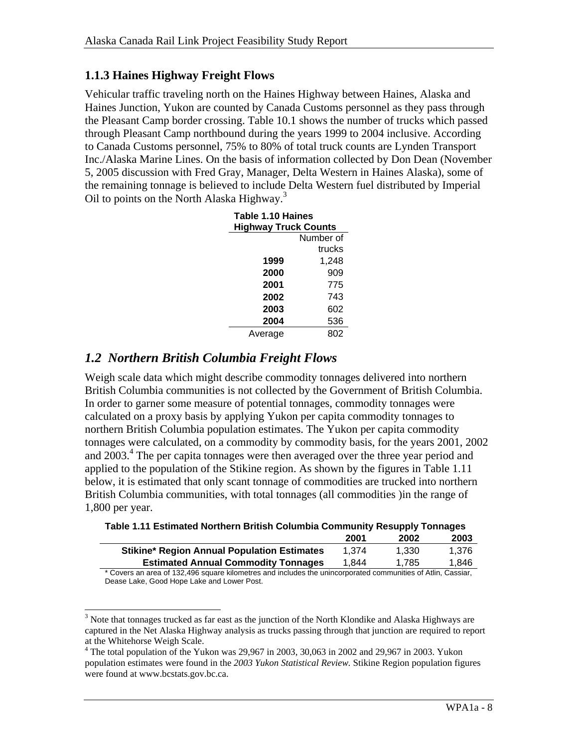#### **1.1.3 Haines Highway Freight Flows**

Vehicular traffic traveling north on the Haines Highway between Haines, Alaska and Haines Junction, Yukon are counted by Canada Customs personnel as they pass through the Pleasant Camp border crossing. Table 10.1 shows the number of trucks which passed through Pleasant Camp northbound during the years 1999 to 2004 inclusive. According to Canada Customs personnel, 75% to 80% of total truck counts are Lynden Transport Inc./Alaska Marine Lines. On the basis of information collected by Don Dean (November 5, 2005 discussion with Fred Gray, Manager, Delta Western in Haines Alaska), some of the remaining tonnage is believed to include Delta Western fuel distributed by Imperial Oil to points on the North Alaska Highway.<sup>3</sup>

| Table 1.10 Haines<br><b>Highway Truck Counts</b> |           |  |  |  |  |  |
|--------------------------------------------------|-----------|--|--|--|--|--|
|                                                  | Number of |  |  |  |  |  |
|                                                  | trucks    |  |  |  |  |  |
| 1999                                             | 1,248     |  |  |  |  |  |
| 2000                                             | 909       |  |  |  |  |  |
| 2001                                             | 775       |  |  |  |  |  |
| 2002                                             | 743       |  |  |  |  |  |
| 2003                                             | 602       |  |  |  |  |  |
| 2004                                             | 536       |  |  |  |  |  |
| Average                                          | 802       |  |  |  |  |  |

### *1.2 Northern British Columbia Freight Flows*

Weigh scale data which might describe commodity tonnages delivered into northern British Columbia communities is not collected by the Government of British Columbia. In order to garner some measure of potential tonnages, commodity tonnages were calculated on a proxy basis by applying Yukon per capita commodity tonnages to northern British Columbia population estimates. The Yukon per capita commodity tonnages were calculated, on a commodity by commodity basis, for the years 2001, 2002 and 2003.<sup>4</sup> The per capita tonnages were then averaged over the three year period and applied to the population of the Stikine region. As shown by the figures in Table 1.11 below, it is estimated that only scant tonnage of commodities are trucked into northern British Columbia communities, with total tonnages (all commodities )in the range of 1,800 per year.

|                                                                                                            | 2001  | 2002  | 2003  |
|------------------------------------------------------------------------------------------------------------|-------|-------|-------|
| <b>Stikine* Region Annual Population Estimates</b>                                                         | 1.374 | 1.330 | 1.376 |
| <b>Estimated Annual Commodity Tonnages</b>                                                                 | 1.844 | 1.785 | 1.846 |
| * Covers an area of 122,406 square kilometres and includes the unincorporated communities of Atlin Cassiar |       |       |       |

**Table 1.11 Estimated Northern British Columbia Community Resupply Tonnages** 

Covers an area of 132,496 square kilometres and includes the unincorporated communities of Atlin, Cassiar, Dease Lake, Good Hope Lake and Lower Post.

<sup>&</sup>lt;sup>3</sup> Note that tonnages trucked as far east as the junction of the North Klondike and Alaska Highways are captured in the Net Alaska Highway analysis as trucks passing through that junction are required to report at the Whitehorse Weigh Scale.

<sup>&</sup>lt;sup>4</sup> The total population of the Yukon was 29,967 in 2003, 30,063 in 2002 and 29,967 in 2003. Yukon population estimates were found in the *2003 Yukon Statistical Review.* Stikine Region population figures were found at www.bcstats.gov.bc.ca.